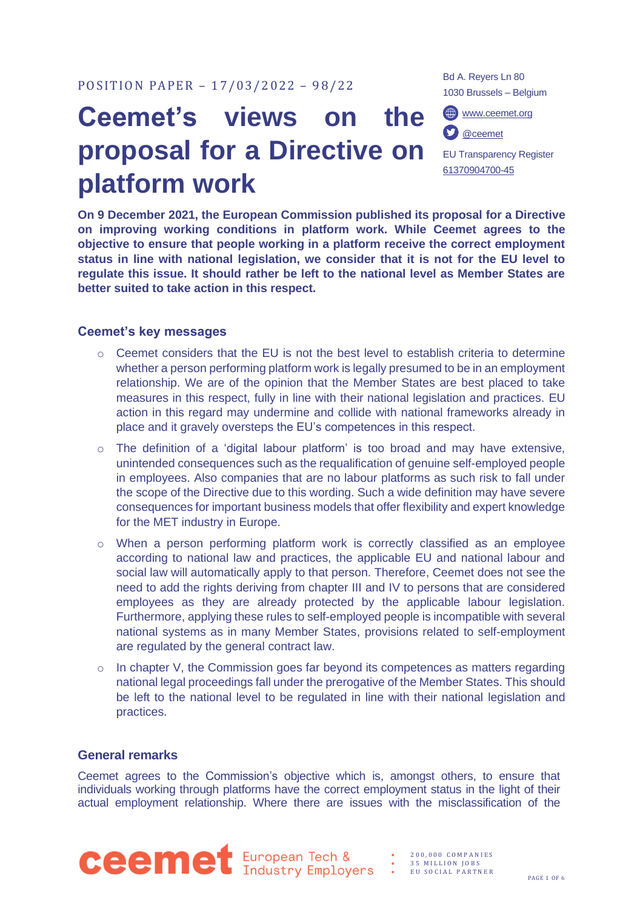# **Ceemet's views on the proposal for a Directive on platform work**

Bd A. Reyers Ln 80 1030 Brussels – Belgium

[www.ceemet.org](http://www.ceemet.org/)



EU Transparency Register [61370904700-45](http://ec.europa.eu/transparencyregister/public/consultation/displaylobbyist.do?id=61370904700-45&isListLobbyistView=true)

**On 9 December 2021, the European Commission published its proposal for a Directive on improving working conditions in platform work. While Ceemet agrees to the objective to ensure that people working in a platform receive the correct employment status in line with national legislation, we consider that it is not for the EU level to regulate this issue. It should rather be left to the national level as Member States are better suited to take action in this respect.** 

# **Ceemet's key messages**

- $\circ$  Ceemet considers that the EU is not the best level to establish criteria to determine whether a person performing platform work is legally presumed to be in an employment relationship. We are of the opinion that the Member States are best placed to take measures in this respect, fully in line with their national legislation and practices. EU action in this regard may undermine and collide with national frameworks already in place and it gravely oversteps the EU's competences in this respect.
- $\circ$  The definition of a 'digital labour platform' is too broad and may have extensive, unintended consequences such as the requalification of genuine self-employed people in employees. Also companies that are no labour platforms as such risk to fall under the scope of the Directive due to this wording. Such a wide definition may have severe consequences for important business models that offer flexibility and expert knowledge for the MET industry in Europe.
- o When a person performing platform work is correctly classified as an employee according to national law and practices, the applicable EU and national labour and social law will automatically apply to that person. Therefore, Ceemet does not see the need to add the rights deriving from chapter III and IV to persons that are considered employees as they are already protected by the applicable labour legislation. Furthermore, applying these rules to self-employed people is incompatible with several national systems as in many Member States, provisions related to self-employment are regulated by the general contract law.
- o In chapter V, the Commission goes far beyond its competences as matters regarding national legal proceedings fall under the prerogative of the Member States. This should be left to the national level to be regulated in line with their national legislation and practices.

# **General remarks**

Ceemet agrees to the Commission's objective which is, amongst others, to ensure that individuals working through platforms have the correct employment status in the light of their actual employment relationship. Where there are issues with the misclassification of the



35 MILLION JOBS • E U S O C I A L P A R T N E R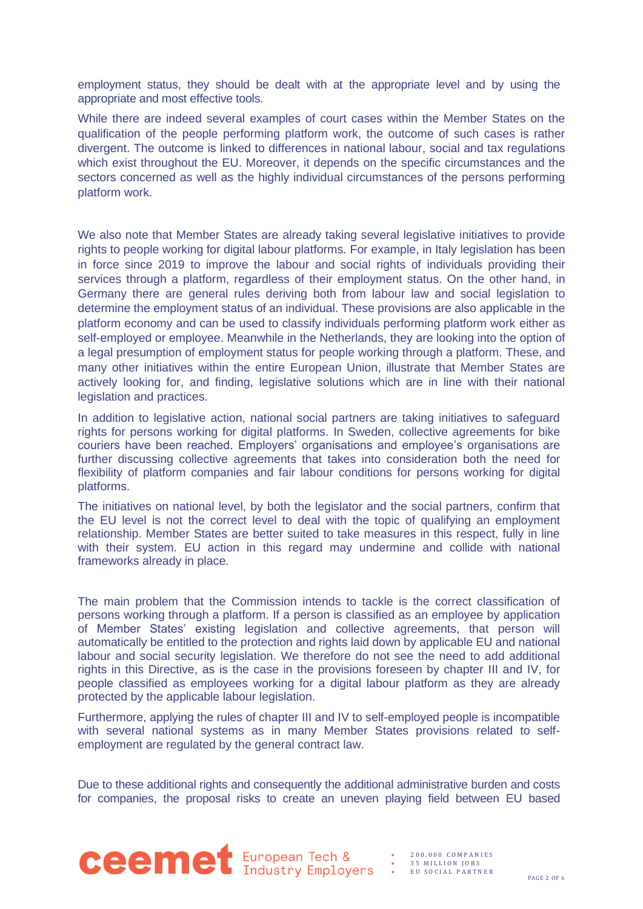employment status, they should be dealt with at the appropriate level and by using the appropriate and most effective tools.

While there are indeed several examples of court cases within the Member States on the qualification of the people performing platform work, the outcome of such cases is rather divergent. The outcome is linked to differences in national labour, social and tax regulations which exist throughout the EU. Moreover, it depends on the specific circumstances and the sectors concerned as well as the highly individual circumstances of the persons performing platform work.

We also note that Member States are already taking several legislative initiatives to provide rights to people working for digital labour platforms. For example, in Italy legislation has been in force since 2019 to improve the labour and social rights of individuals providing their services through a platform, regardless of their employment status. On the other hand, in Germany there are general rules deriving both from labour law and social legislation to determine the employment status of an individual. These provisions are also applicable in the platform economy and can be used to classify individuals performing platform work either as self-employed or employee. Meanwhile in the Netherlands, they are looking into the option of a legal presumption of employment status for people working through a platform. These, and many other initiatives within the entire European Union, illustrate that Member States are actively looking for, and finding, legislative solutions which are in line with their national legislation and practices.

In addition to legislative action, national social partners are taking initiatives to safeguard rights for persons working for digital platforms. In Sweden, collective agreements for bike couriers have been reached. Employers' organisations and employee's organisations are further discussing collective agreements that takes into consideration both the need for flexibility of platform companies and fair labour conditions for persons working for digital platforms.

The initiatives on national level, by both the legislator and the social partners, confirm that the EU level is not the correct level to deal with the topic of qualifying an employment relationship. Member States are better suited to take measures in this respect, fully in line with their system. EU action in this regard may undermine and collide with national frameworks already in place.

The main problem that the Commission intends to tackle is the correct classification of persons working through a platform. If a person is classified as an employee by application of Member States' existing legislation and collective agreements, that person will automatically be entitled to the protection and rights laid down by applicable EU and national labour and social security legislation. We therefore do not see the need to add additional rights in this Directive, as is the case in the provisions foreseen by chapter III and IV, for people classified as employees working for a digital labour platform as they are already protected by the applicable labour legislation.

Furthermore, applying the rules of chapter III and IV to self-employed people is incompatible with several national systems as in many Member States provisions related to selfemployment are regulated by the general contract law.

Due to these additional rights and consequently the additional administrative burden and costs for companies, the proposal risks to create an uneven playing field between EU based



• 200,000 COMPANIES<br>• 35 MILLION JOBS<br>• EU SOCIAL PARTNER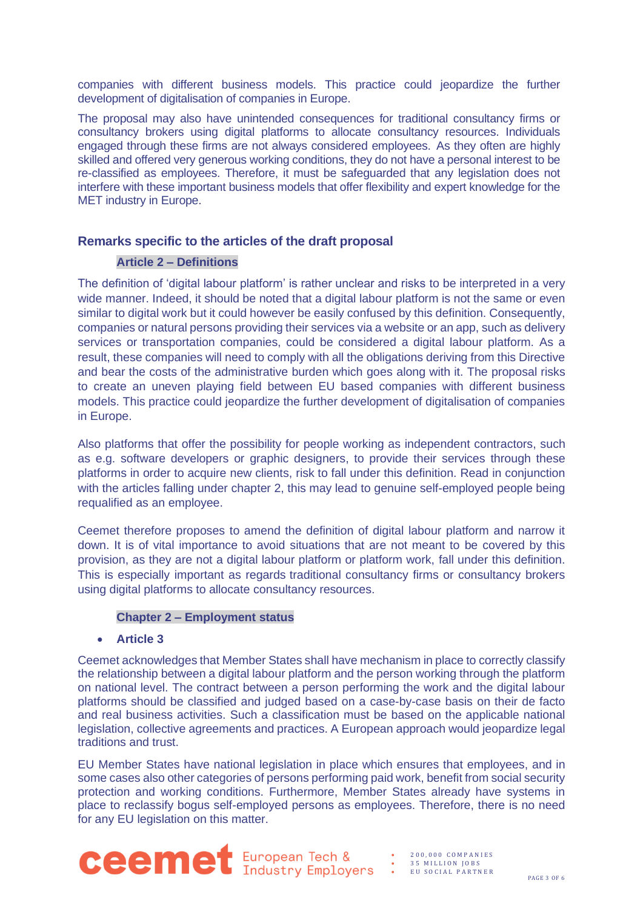companies with different business models. This practice could jeopardize the further development of digitalisation of companies in Europe.

The proposal may also have unintended consequences for traditional consultancy firms or consultancy brokers using digital platforms to allocate consultancy resources. Individuals engaged through these firms are not always considered employees. As they often are highly skilled and offered very generous working conditions, they do not have a personal interest to be re-classified as employees. Therefore, it must be safeguarded that any legislation does not interfere with these important business models that offer flexibility and expert knowledge for the MET industry in Europe.

# **Remarks specific to the articles of the draft proposal**

#### **Article 2 – Definitions**

The definition of 'digital labour platform' is rather unclear and risks to be interpreted in a very wide manner. Indeed, it should be noted that a digital labour platform is not the same or even similar to digital work but it could however be easily confused by this definition. Consequently, companies or natural persons providing their services via a website or an app, such as delivery services or transportation companies, could be considered a digital labour platform. As a result, these companies will need to comply with all the obligations deriving from this Directive and bear the costs of the administrative burden which goes along with it. The proposal risks to create an uneven playing field between EU based companies with different business models. This practice could jeopardize the further development of digitalisation of companies in Europe.

Also platforms that offer the possibility for people working as independent contractors, such as e.g. software developers or graphic designers, to provide their services through these platforms in order to acquire new clients, risk to fall under this definition. Read in conjunction with the articles falling under chapter 2, this may lead to genuine self-employed people being requalified as an employee.

Ceemet therefore proposes to amend the definition of digital labour platform and narrow it down. It is of vital importance to avoid situations that are not meant to be covered by this provision, as they are not a digital labour platform or platform work, fall under this definition. This is especially important as regards traditional consultancy firms or consultancy brokers using digital platforms to allocate consultancy resources.

#### **Chapter 2 – Employment status**

#### • **Article 3**

Ceemet acknowledges that Member States shall have mechanism in place to correctly classify the relationship between a digital labour platform and the person working through the platform on national level. The contract between a person performing the work and the digital labour platforms should be classified and judged based on a case-by-case basis on their de facto and real business activities. Such a classification must be based on the applicable national legislation, collective agreements and practices. A European approach would jeopardize legal traditions and trust.

EU Member States have national legislation in place which ensures that employees, and in some cases also other categories of persons performing paid work, benefit from social security protection and working conditions. Furthermore, Member States already have systems in place to reclassify bogus self-employed persons as employees. Therefore, there is no need for any EU legislation on this matter.

**CEEME** European Tech & : 35 MILLION JOBS COMPANIES

35 MILLION JOBS EU SOCIAL PARTNER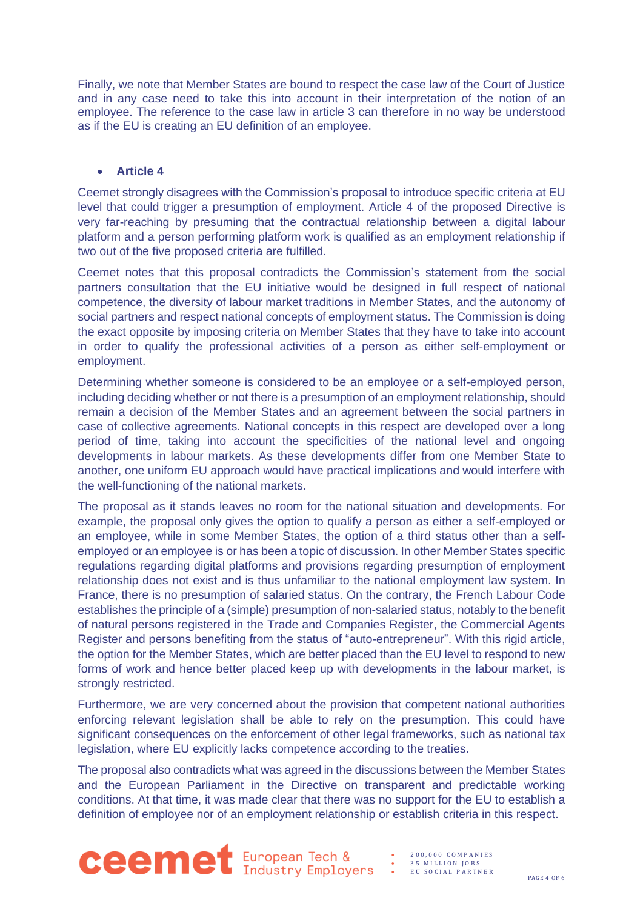Finally, we note that Member States are bound to respect the case law of the Court of Justice and in any case need to take this into account in their interpretation of the notion of an employee. The reference to the case law in article 3 can therefore in no way be understood as if the EU is creating an EU definition of an employee.

### • **Article 4**

Ceemet strongly disagrees with the Commission's proposal to introduce specific criteria at EU level that could trigger a presumption of employment. Article 4 of the proposed Directive is very far-reaching by presuming that the contractual relationship between a digital labour platform and a person performing platform work is qualified as an employment relationship if two out of the five proposed criteria are fulfilled.

Ceemet notes that this proposal contradicts the Commission's statement from the social partners consultation that the EU initiative would be designed in full respect of national competence, the diversity of labour market traditions in Member States, and the autonomy of social partners and respect national concepts of employment status. The Commission is doing the exact opposite by imposing criteria on Member States that they have to take into account in order to qualify the professional activities of a person as either self-employment or employment.

Determining whether someone is considered to be an employee or a self-employed person, including deciding whether or not there is a presumption of an employment relationship, should remain a decision of the Member States and an agreement between the social partners in case of collective agreements. National concepts in this respect are developed over a long period of time, taking into account the specificities of the national level and ongoing developments in labour markets. As these developments differ from one Member State to another, one uniform EU approach would have practical implications and would interfere with the well-functioning of the national markets.

The proposal as it stands leaves no room for the national situation and developments. For example, the proposal only gives the option to qualify a person as either a self-employed or an employee, while in some Member States, the option of a third status other than a selfemployed or an employee is or has been a topic of discussion. In other Member States specific regulations regarding digital platforms and provisions regarding presumption of employment relationship does not exist and is thus unfamiliar to the national employment law system. In France, there is no presumption of salaried status. On the contrary, the French Labour Code establishes the principle of a (simple) presumption of non-salaried status, notably to the benefit of natural persons registered in the Trade and Companies Register, the Commercial Agents Register and persons benefiting from the status of "auto-entrepreneur". With this rigid article, the option for the Member States, which are better placed than the EU level to respond to new forms of work and hence better placed keep up with developments in the labour market, is strongly restricted.

Furthermore, we are very concerned about the provision that competent national authorities enforcing relevant legislation shall be able to rely on the presumption. This could have significant consequences on the enforcement of other legal frameworks, such as national tax legislation, where EU explicitly lacks competence according to the treaties.

The proposal also contradicts what was agreed in the discussions between the Member States and the European Parliament in the Directive on transparent and predictable working conditions. At that time, it was made clear that there was no support for the EU to establish a definition of employee nor of an employment relationship or establish criteria in this respect.



• 2 0 0 , 0 0 0 C O M P A N I E S • 3 5 M I L L I O N J O B S

• E U S O C I A L P A R T N E R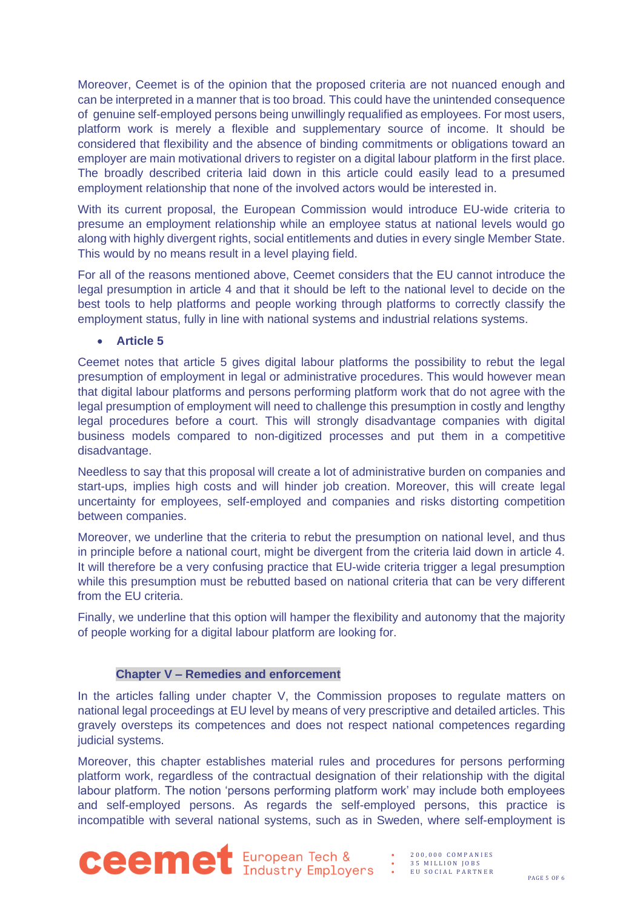Moreover, Ceemet is of the opinion that the proposed criteria are not nuanced enough and can be interpreted in a manner that is too broad. This could have the unintended consequence of genuine self-employed persons being unwillingly requalified as employees. For most users, platform work is merely a flexible and supplementary source of income. It should be considered that flexibility and the absence of binding commitments or obligations toward an employer are main motivational drivers to register on a digital labour platform in the first place. The broadly described criteria laid down in this article could easily lead to a presumed employment relationship that none of the involved actors would be interested in.

With its current proposal, the European Commission would introduce EU-wide criteria to presume an employment relationship while an employee status at national levels would go along with highly divergent rights, social entitlements and duties in every single Member State. This would by no means result in a level playing field.

For all of the reasons mentioned above, Ceemet considers that the EU cannot introduce the legal presumption in article 4 and that it should be left to the national level to decide on the best tools to help platforms and people working through platforms to correctly classify the employment status, fully in line with national systems and industrial relations systems.

• **Article 5**

Ceemet notes that article 5 gives digital labour platforms the possibility to rebut the legal presumption of employment in legal or administrative procedures. This would however mean that digital labour platforms and persons performing platform work that do not agree with the legal presumption of employment will need to challenge this presumption in costly and lengthy legal procedures before a court. This will strongly disadvantage companies with digital business models compared to non-digitized processes and put them in a competitive disadvantage.

Needless to say that this proposal will create a lot of administrative burden on companies and start-ups, implies high costs and will hinder job creation. Moreover, this will create legal uncertainty for employees, self-employed and companies and risks distorting competition between companies.

Moreover, we underline that the criteria to rebut the presumption on national level, and thus in principle before a national court, might be divergent from the criteria laid down in article 4. It will therefore be a very confusing practice that EU-wide criteria trigger a legal presumption while this presumption must be rebutted based on national criteria that can be very different from the EU criteria.

Finally, we underline that this option will hamper the flexibility and autonomy that the majority of people working for a digital labour platform are looking for.

# **Chapter V – Remedies and enforcement**

In the articles falling under chapter V, the Commission proposes to regulate matters on national legal proceedings at EU level by means of very prescriptive and detailed articles. This gravely oversteps its competences and does not respect national competences regarding judicial systems.

Moreover, this chapter establishes material rules and procedures for persons performing platform work, regardless of the contractual designation of their relationship with the digital labour platform. The notion 'persons performing platform work' may include both employees and self-employed persons. As regards the self-employed persons, this practice is incompatible with several national systems, such as in Sweden, where self-employment is



• 2 0 0 , 0 0 0 C O M P A N I E S 35 MILLION JOBS